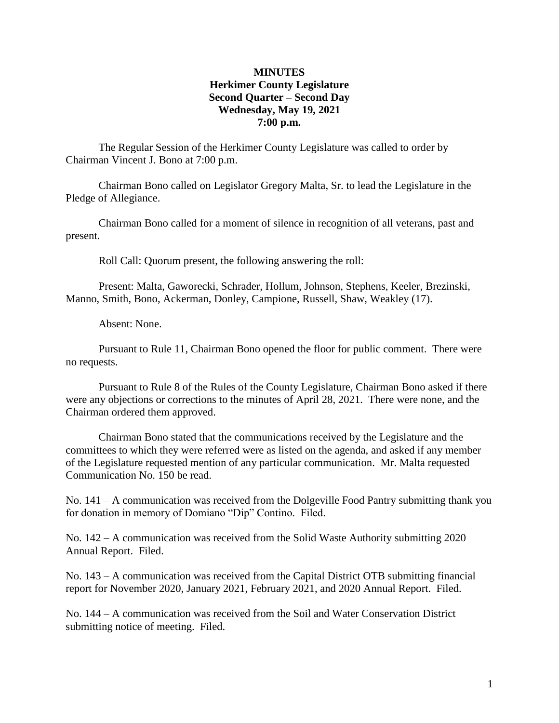# **MINUTES Herkimer County Legislature Second Quarter – Second Day Wednesday, May 19, 2021 7:00 p.m.**

The Regular Session of the Herkimer County Legislature was called to order by Chairman Vincent J. Bono at 7:00 p.m.

Chairman Bono called on Legislator Gregory Malta, Sr. to lead the Legislature in the Pledge of Allegiance.

Chairman Bono called for a moment of silence in recognition of all veterans, past and present.

Roll Call: Quorum present, the following answering the roll:

Present: Malta, Gaworecki, Schrader, Hollum, Johnson, Stephens, Keeler, Brezinski, Manno, Smith, Bono, Ackerman, Donley, Campione, Russell, Shaw, Weakley (17).

Absent: None.

Pursuant to Rule 11, Chairman Bono opened the floor for public comment. There were no requests.

Pursuant to Rule 8 of the Rules of the County Legislature, Chairman Bono asked if there were any objections or corrections to the minutes of April 28, 2021. There were none, and the Chairman ordered them approved.

Chairman Bono stated that the communications received by the Legislature and the committees to which they were referred were as listed on the agenda, and asked if any member of the Legislature requested mention of any particular communication. Mr. Malta requested Communication No. 150 be read.

No. 141 – A communication was received from the Dolgeville Food Pantry submitting thank you for donation in memory of Domiano "Dip" Contino. Filed.

No. 142 – A communication was received from the Solid Waste Authority submitting 2020 Annual Report. Filed.

No. 143 – A communication was received from the Capital District OTB submitting financial report for November 2020, January 2021, February 2021, and 2020 Annual Report. Filed.

No. 144 – A communication was received from the Soil and Water Conservation District submitting notice of meeting. Filed.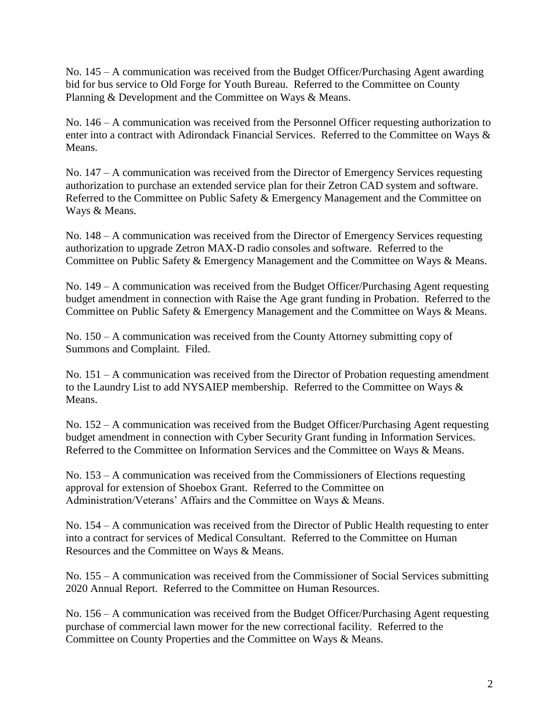No. 145 – A communication was received from the Budget Officer/Purchasing Agent awarding bid for bus service to Old Forge for Youth Bureau. Referred to the Committee on County Planning & Development and the Committee on Ways & Means.

No. 146 – A communication was received from the Personnel Officer requesting authorization to enter into a contract with Adirondack Financial Services. Referred to the Committee on Ways & Means.

No. 147 – A communication was received from the Director of Emergency Services requesting authorization to purchase an extended service plan for their Zetron CAD system and software. Referred to the Committee on Public Safety & Emergency Management and the Committee on Ways & Means.

No. 148 – A communication was received from the Director of Emergency Services requesting authorization to upgrade Zetron MAX-D radio consoles and software. Referred to the Committee on Public Safety & Emergency Management and the Committee on Ways & Means.

No. 149 – A communication was received from the Budget Officer/Purchasing Agent requesting budget amendment in connection with Raise the Age grant funding in Probation. Referred to the Committee on Public Safety & Emergency Management and the Committee on Ways & Means.

No. 150 – A communication was received from the County Attorney submitting copy of Summons and Complaint. Filed.

No. 151 – A communication was received from the Director of Probation requesting amendment to the Laundry List to add NYSAIEP membership. Referred to the Committee on Ways & Means.

No. 152 – A communication was received from the Budget Officer/Purchasing Agent requesting budget amendment in connection with Cyber Security Grant funding in Information Services. Referred to the Committee on Information Services and the Committee on Ways & Means.

No. 153 – A communication was received from the Commissioners of Elections requesting approval for extension of Shoebox Grant. Referred to the Committee on Administration/Veterans' Affairs and the Committee on Ways & Means.

No. 154 – A communication was received from the Director of Public Health requesting to enter into a contract for services of Medical Consultant. Referred to the Committee on Human Resources and the Committee on Ways & Means.

No. 155 – A communication was received from the Commissioner of Social Services submitting 2020 Annual Report. Referred to the Committee on Human Resources.

No. 156 – A communication was received from the Budget Officer/Purchasing Agent requesting purchase of commercial lawn mower for the new correctional facility. Referred to the Committee on County Properties and the Committee on Ways & Means.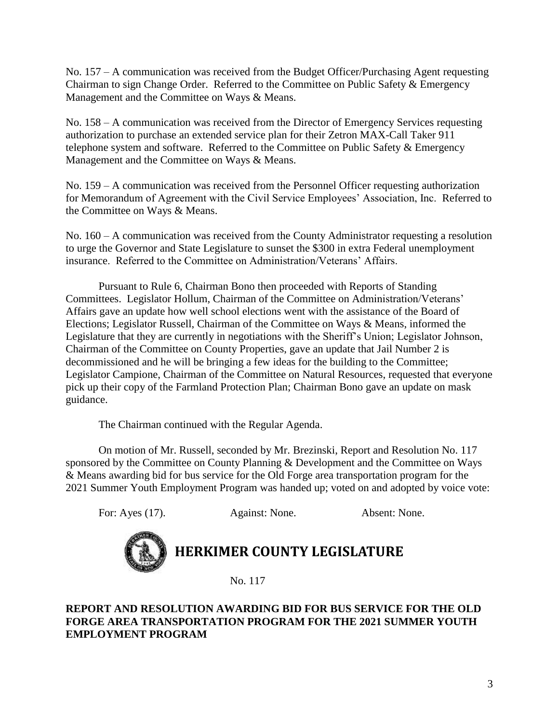No. 157 – A communication was received from the Budget Officer/Purchasing Agent requesting Chairman to sign Change Order. Referred to the Committee on Public Safety & Emergency Management and the Committee on Ways & Means.

No. 158 – A communication was received from the Director of Emergency Services requesting authorization to purchase an extended service plan for their Zetron MAX-Call Taker 911 telephone system and software. Referred to the Committee on Public Safety & Emergency Management and the Committee on Ways & Means.

No. 159 – A communication was received from the Personnel Officer requesting authorization for Memorandum of Agreement with the Civil Service Employees' Association, Inc. Referred to the Committee on Ways & Means.

No. 160 – A communication was received from the County Administrator requesting a resolution to urge the Governor and State Legislature to sunset the \$300 in extra Federal unemployment insurance. Referred to the Committee on Administration/Veterans' Affairs.

Pursuant to Rule 6, Chairman Bono then proceeded with Reports of Standing Committees. Legislator Hollum, Chairman of the Committee on Administration/Veterans' Affairs gave an update how well school elections went with the assistance of the Board of Elections; Legislator Russell, Chairman of the Committee on Ways & Means, informed the Legislature that they are currently in negotiations with the Sheriff's Union; Legislator Johnson, Chairman of the Committee on County Properties, gave an update that Jail Number 2 is decommissioned and he will be bringing a few ideas for the building to the Committee; Legislator Campione, Chairman of the Committee on Natural Resources, requested that everyone pick up their copy of the Farmland Protection Plan; Chairman Bono gave an update on mask guidance.

The Chairman continued with the Regular Agenda.

On motion of Mr. Russell, seconded by Mr. Brezinski, Report and Resolution No. 117 sponsored by the Committee on County Planning & Development and the Committee on Ways & Means awarding bid for bus service for the Old Forge area transportation program for the 2021 Summer Youth Employment Program was handed up; voted on and adopted by voice vote:

For: Ayes (17). Against: None. Absent: None.



# **HERKIMER COUNTY LEGISLATURE**

No. 117

# **REPORT AND RESOLUTION AWARDING BID FOR BUS SERVICE FOR THE OLD FORGE AREA TRANSPORTATION PROGRAM FOR THE 2021 SUMMER YOUTH EMPLOYMENT PROGRAM**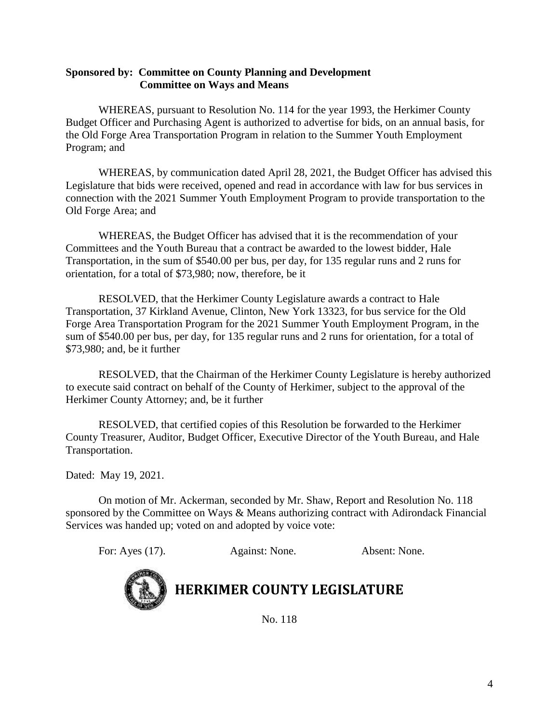# **Sponsored by: Committee on County Planning and Development Committee on Ways and Means**

WHEREAS, pursuant to Resolution No. 114 for the year 1993, the Herkimer County Budget Officer and Purchasing Agent is authorized to advertise for bids, on an annual basis, for the Old Forge Area Transportation Program in relation to the Summer Youth Employment Program; and

WHEREAS, by communication dated April 28, 2021, the Budget Officer has advised this Legislature that bids were received, opened and read in accordance with law for bus services in connection with the 2021 Summer Youth Employment Program to provide transportation to the Old Forge Area; and

WHEREAS, the Budget Officer has advised that it is the recommendation of your Committees and the Youth Bureau that a contract be awarded to the lowest bidder, Hale Transportation, in the sum of \$540.00 per bus, per day, for 135 regular runs and 2 runs for orientation, for a total of \$73,980; now, therefore, be it

RESOLVED, that the Herkimer County Legislature awards a contract to Hale Transportation, 37 Kirkland Avenue, Clinton, New York 13323, for bus service for the Old Forge Area Transportation Program for the 2021 Summer Youth Employment Program, in the sum of \$540.00 per bus, per day, for 135 regular runs and 2 runs for orientation, for a total of \$73,980; and, be it further

RESOLVED, that the Chairman of the Herkimer County Legislature is hereby authorized to execute said contract on behalf of the County of Herkimer, subject to the approval of the Herkimer County Attorney; and, be it further

RESOLVED, that certified copies of this Resolution be forwarded to the Herkimer County Treasurer, Auditor, Budget Officer, Executive Director of the Youth Bureau, and Hale Transportation.

Dated: May 19, 2021.

On motion of Mr. Ackerman, seconded by Mr. Shaw, Report and Resolution No. 118 sponsored by the Committee on Ways & Means authorizing contract with Adirondack Financial Services was handed up; voted on and adopted by voice vote:

For: Ayes (17). Against: None. Absent: None.



**HERKIMER COUNTY LEGISLATURE**

No. 118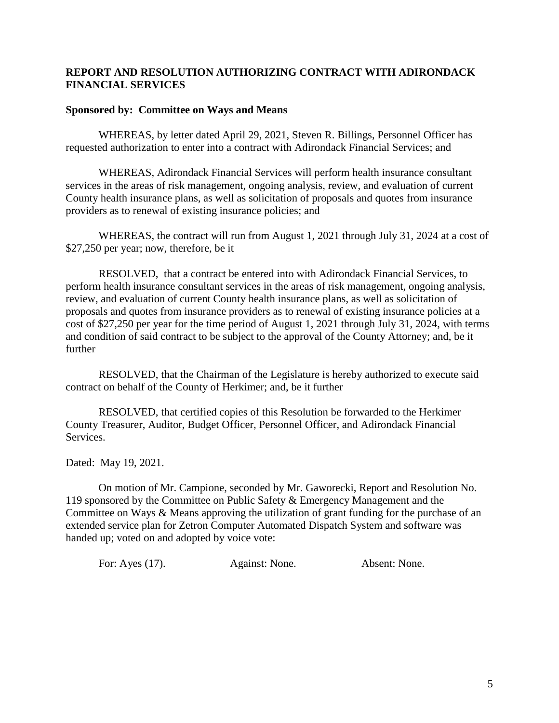# **REPORT AND RESOLUTION AUTHORIZING CONTRACT WITH ADIRONDACK FINANCIAL SERVICES**

# **Sponsored by: Committee on Ways and Means**

WHEREAS, by letter dated April 29, 2021, Steven R. Billings, Personnel Officer has requested authorization to enter into a contract with Adirondack Financial Services; and

WHEREAS, Adirondack Financial Services will perform health insurance consultant services in the areas of risk management, ongoing analysis, review, and evaluation of current County health insurance plans, as well as solicitation of proposals and quotes from insurance providers as to renewal of existing insurance policies; and

WHEREAS, the contract will run from August 1, 2021 through July 31, 2024 at a cost of \$27,250 per year; now, therefore, be it

RESOLVED, that a contract be entered into with Adirondack Financial Services, to perform health insurance consultant services in the areas of risk management, ongoing analysis, review, and evaluation of current County health insurance plans, as well as solicitation of proposals and quotes from insurance providers as to renewal of existing insurance policies at a cost of \$27,250 per year for the time period of August 1, 2021 through July 31, 2024, with terms and condition of said contract to be subject to the approval of the County Attorney; and, be it further

RESOLVED, that the Chairman of the Legislature is hereby authorized to execute said contract on behalf of the County of Herkimer; and, be it further

RESOLVED, that certified copies of this Resolution be forwarded to the Herkimer County Treasurer, Auditor, Budget Officer, Personnel Officer, and Adirondack Financial Services.

Dated: May 19, 2021.

On motion of Mr. Campione, seconded by Mr. Gaworecki, Report and Resolution No. 119 sponsored by the Committee on Public Safety & Emergency Management and the Committee on Ways & Means approving the utilization of grant funding for the purchase of an extended service plan for Zetron Computer Automated Dispatch System and software was handed up; voted on and adopted by voice vote:

| For: Ayes $(17)$ . | Against: None. | Absent: None. |
|--------------------|----------------|---------------|
|                    |                |               |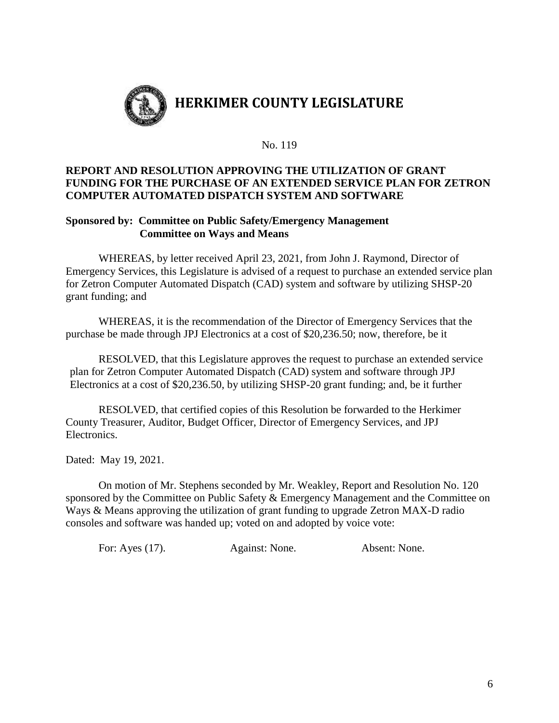

#### No. 119

# **REPORT AND RESOLUTION APPROVING THE UTILIZATION OF GRANT FUNDING FOR THE PURCHASE OF AN EXTENDED SERVICE PLAN FOR ZETRON COMPUTER AUTOMATED DISPATCH SYSTEM AND SOFTWARE**

# **Sponsored by: Committee on Public Safety/Emergency Management Committee on Ways and Means**

WHEREAS, by letter received April 23, 2021, from John J. Raymond, Director of Emergency Services, this Legislature is advised of a request to purchase an extended service plan for Zetron Computer Automated Dispatch (CAD) system and software by utilizing SHSP-20 grant funding; and

WHEREAS, it is the recommendation of the Director of Emergency Services that the purchase be made through JPJ Electronics at a cost of \$20,236.50; now, therefore, be it

RESOLVED, that this Legislature approves the request to purchase an extended service plan for Zetron Computer Automated Dispatch (CAD) system and software through JPJ Electronics at a cost of \$20,236.50, by utilizing SHSP-20 grant funding; and, be it further

RESOLVED, that certified copies of this Resolution be forwarded to the Herkimer County Treasurer, Auditor, Budget Officer, Director of Emergency Services, and JPJ Electronics.

Dated: May 19, 2021.

On motion of Mr. Stephens seconded by Mr. Weakley, Report and Resolution No. 120 sponsored by the Committee on Public Safety & Emergency Management and the Committee on Ways & Means approving the utilization of grant funding to upgrade Zetron MAX-D radio consoles and software was handed up; voted on and adopted by voice vote:

For: Ayes (17). Against: None. Absent: None.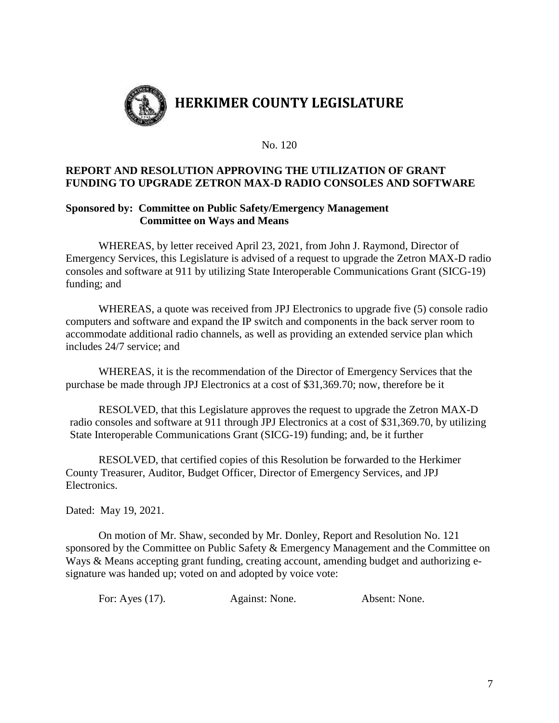

#### No. 120

# **REPORT AND RESOLUTION APPROVING THE UTILIZATION OF GRANT FUNDING TO UPGRADE ZETRON MAX-D RADIO CONSOLES AND SOFTWARE**

## **Sponsored by: Committee on Public Safety/Emergency Management Committee on Ways and Means**

WHEREAS, by letter received April 23, 2021, from John J. Raymond, Director of Emergency Services, this Legislature is advised of a request to upgrade the Zetron MAX-D radio consoles and software at 911 by utilizing State Interoperable Communications Grant (SICG-19) funding; and

WHEREAS, a quote was received from JPJ Electronics to upgrade five (5) console radio computers and software and expand the IP switch and components in the back server room to accommodate additional radio channels, as well as providing an extended service plan which includes 24/7 service; and

WHEREAS, it is the recommendation of the Director of Emergency Services that the purchase be made through JPJ Electronics at a cost of \$31,369.70; now, therefore be it

RESOLVED, that this Legislature approves the request to upgrade the Zetron MAX-D radio consoles and software at 911 through JPJ Electronics at a cost of \$31,369.70, by utilizing State Interoperable Communications Grant (SICG-19) funding; and, be it further

RESOLVED, that certified copies of this Resolution be forwarded to the Herkimer County Treasurer, Auditor, Budget Officer, Director of Emergency Services, and JPJ Electronics.

Dated: May 19, 2021.

On motion of Mr. Shaw, seconded by Mr. Donley, Report and Resolution No. 121 sponsored by the Committee on Public Safety & Emergency Management and the Committee on Ways & Means accepting grant funding, creating account, amending budget and authorizing esignature was handed up; voted on and adopted by voice vote:

For: Ayes (17). Against: None. Absent: None.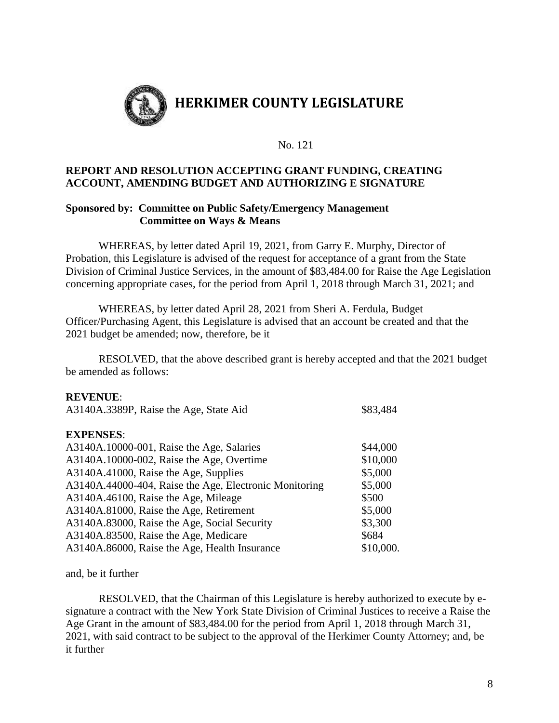

## No. 121

# **REPORT AND RESOLUTION ACCEPTING GRANT FUNDING, CREATING ACCOUNT, AMENDING BUDGET AND AUTHORIZING E SIGNATURE**

## **Sponsored by: Committee on Public Safety/Emergency Management Committee on Ways & Means**

WHEREAS, by letter dated April 19, 2021, from Garry E. Murphy, Director of Probation, this Legislature is advised of the request for acceptance of a grant from the State Division of Criminal Justice Services, in the amount of \$83,484.00 for Raise the Age Legislation concerning appropriate cases, for the period from April 1, 2018 through March 31, 2021; and

WHEREAS, by letter dated April 28, 2021 from Sheri A. Ferdula, Budget Officer/Purchasing Agent, this Legislature is advised that an account be created and that the 2021 budget be amended; now, therefore, be it

RESOLVED, that the above described grant is hereby accepted and that the 2021 budget be amended as follows:

## **REVENUE**:

| A3140A.3389P, Raise the Age, State Aid                 | \$83,484  |
|--------------------------------------------------------|-----------|
| <b>EXPENSES:</b>                                       |           |
|                                                        |           |
| A3140A.10000-001, Raise the Age, Salaries              | \$44,000  |
| A3140A.10000-002, Raise the Age, Overtime              | \$10,000  |
| A3140A.41000, Raise the Age, Supplies                  | \$5,000   |
| A3140A.44000-404, Raise the Age, Electronic Monitoring | \$5,000   |
| A3140A.46100, Raise the Age, Mileage                   | \$500     |
| A3140A.81000, Raise the Age, Retirement                | \$5,000   |
| A3140A.83000, Raise the Age, Social Security           | \$3,300   |
| A3140A.83500, Raise the Age, Medicare                  | \$684     |
| A3140A.86000, Raise the Age, Health Insurance          | \$10,000. |
|                                                        |           |

and, be it further

RESOLVED, that the Chairman of this Legislature is hereby authorized to execute by esignature a contract with the New York State Division of Criminal Justices to receive a Raise the Age Grant in the amount of \$83,484.00 for the period from April 1, 2018 through March 31, 2021, with said contract to be subject to the approval of the Herkimer County Attorney; and, be it further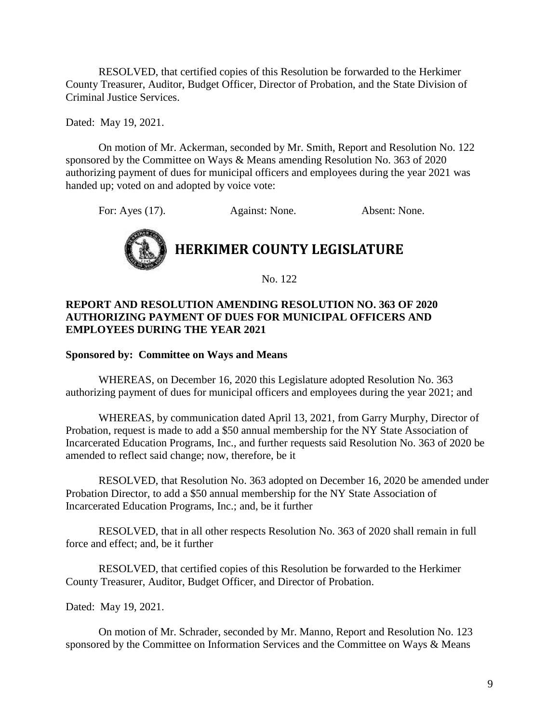RESOLVED, that certified copies of this Resolution be forwarded to the Herkimer County Treasurer, Auditor, Budget Officer, Director of Probation, and the State Division of Criminal Justice Services.

Dated: May 19, 2021.

On motion of Mr. Ackerman, seconded by Mr. Smith, Report and Resolution No. 122 sponsored by the Committee on Ways & Means amending Resolution No. 363 of 2020 authorizing payment of dues for municipal officers and employees during the year 2021 was handed up; voted on and adopted by voice vote:

For: Ayes (17). Against: None. Absent: None.



No. 122

# **REPORT AND RESOLUTION AMENDING RESOLUTION NO. 363 OF 2020 AUTHORIZING PAYMENT OF DUES FOR MUNICIPAL OFFICERS AND EMPLOYEES DURING THE YEAR 2021**

#### **Sponsored by: Committee on Ways and Means**

WHEREAS, on December 16, 2020 this Legislature adopted Resolution No. 363 authorizing payment of dues for municipal officers and employees during the year 2021; and

WHEREAS, by communication dated April 13, 2021, from Garry Murphy, Director of Probation, request is made to add a \$50 annual membership for the NY State Association of Incarcerated Education Programs, Inc., and further requests said Resolution No. 363 of 2020 be amended to reflect said change; now, therefore, be it

RESOLVED, that Resolution No. 363 adopted on December 16, 2020 be amended under Probation Director, to add a \$50 annual membership for the NY State Association of Incarcerated Education Programs, Inc.; and, be it further

RESOLVED, that in all other respects Resolution No. 363 of 2020 shall remain in full force and effect; and, be it further

RESOLVED, that certified copies of this Resolution be forwarded to the Herkimer County Treasurer, Auditor, Budget Officer, and Director of Probation.

Dated: May 19, 2021.

On motion of Mr. Schrader, seconded by Mr. Manno, Report and Resolution No. 123 sponsored by the Committee on Information Services and the Committee on Ways & Means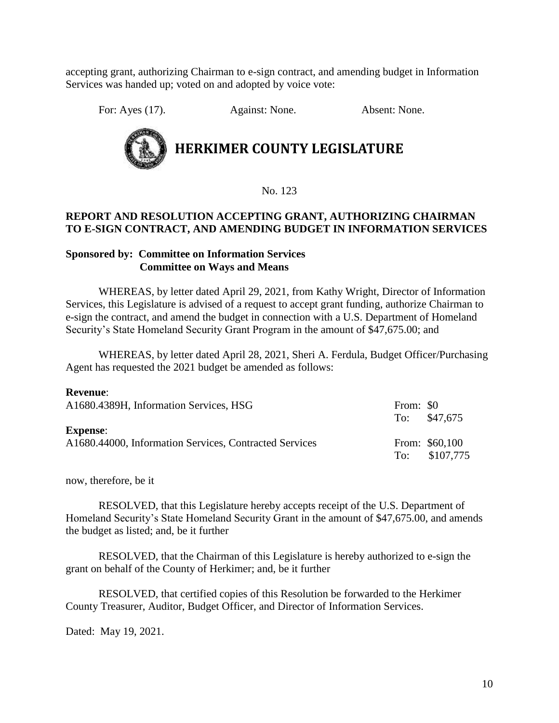accepting grant, authorizing Chairman to e-sign contract, and amending budget in Information Services was handed up; voted on and adopted by voice vote:

For: Ayes (17). Against: None. Absent: None.



**HERKIMER COUNTY LEGISLATURE**

No. 123

# **REPORT AND RESOLUTION ACCEPTING GRANT, AUTHORIZING CHAIRMAN TO E-SIGN CONTRACT, AND AMENDING BUDGET IN INFORMATION SERVICES**

# **Sponsored by: Committee on Information Services Committee on Ways and Means**

WHEREAS, by letter dated April 29, 2021, from Kathy Wright, Director of Information Services, this Legislature is advised of a request to accept grant funding, authorize Chairman to e-sign the contract, and amend the budget in connection with a U.S. Department of Homeland Security's State Homeland Security Grant Program in the amount of \$47,675.00; and

WHEREAS, by letter dated April 28, 2021, Sheri A. Ferdula, Budget Officer/Purchasing Agent has requested the 2021 budget be amended as follows:

| леусцие.<br>A1680.4389H, Information Services, HSG                        | From: \$0 | To: $$47.675$                   |
|---------------------------------------------------------------------------|-----------|---------------------------------|
| <b>Expense:</b><br>A1680.44000, Information Services, Contracted Services |           | From: \$60,100<br>To: \$107,775 |

now, therefore, be it

**Revenue**:

RESOLVED, that this Legislature hereby accepts receipt of the U.S. Department of Homeland Security's State Homeland Security Grant in the amount of \$47,675.00, and amends the budget as listed; and, be it further

RESOLVED, that the Chairman of this Legislature is hereby authorized to e-sign the grant on behalf of the County of Herkimer; and, be it further

RESOLVED, that certified copies of this Resolution be forwarded to the Herkimer County Treasurer, Auditor, Budget Officer, and Director of Information Services.

Dated: May 19, 2021.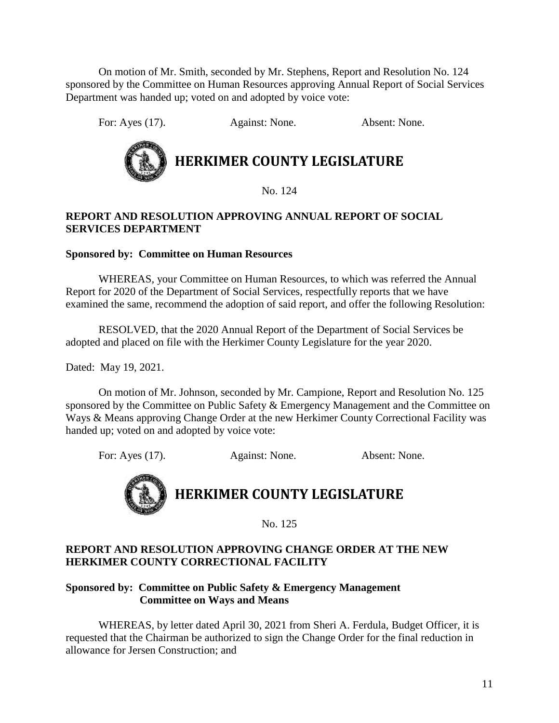On motion of Mr. Smith, seconded by Mr. Stephens, Report and Resolution No. 124 sponsored by the Committee on Human Resources approving Annual Report of Social Services Department was handed up; voted on and adopted by voice vote:

For: Ayes (17). Against: None. Absent: None.



# **HERKIMER COUNTY LEGISLATURE**

No. 124

# **REPORT AND RESOLUTION APPROVING ANNUAL REPORT OF SOCIAL SERVICES DEPARTMENT**

# **Sponsored by: Committee on Human Resources**

WHEREAS, your Committee on Human Resources, to which was referred the Annual Report for 2020 of the Department of Social Services, respectfully reports that we have examined the same, recommend the adoption of said report, and offer the following Resolution:

RESOLVED, that the 2020 Annual Report of the Department of Social Services be adopted and placed on file with the Herkimer County Legislature for the year 2020.

Dated: May 19, 2021.

On motion of Mr. Johnson, seconded by Mr. Campione, Report and Resolution No. 125 sponsored by the Committee on Public Safety & Emergency Management and the Committee on Ways & Means approving Change Order at the new Herkimer County Correctional Facility was handed up; voted on and adopted by voice vote:

For: Ayes (17). Against: None. Absent: None.

# **HERKIMER COUNTY LEGISLATURE**

No. 125

# **REPORT AND RESOLUTION APPROVING CHANGE ORDER AT THE NEW HERKIMER COUNTY CORRECTIONAL FACILITY**

# **Sponsored by: Committee on Public Safety & Emergency Management Committee on Ways and Means**

WHEREAS, by letter dated April 30, 2021 from Sheri A. Ferdula, Budget Officer, it is requested that the Chairman be authorized to sign the Change Order for the final reduction in allowance for Jersen Construction; and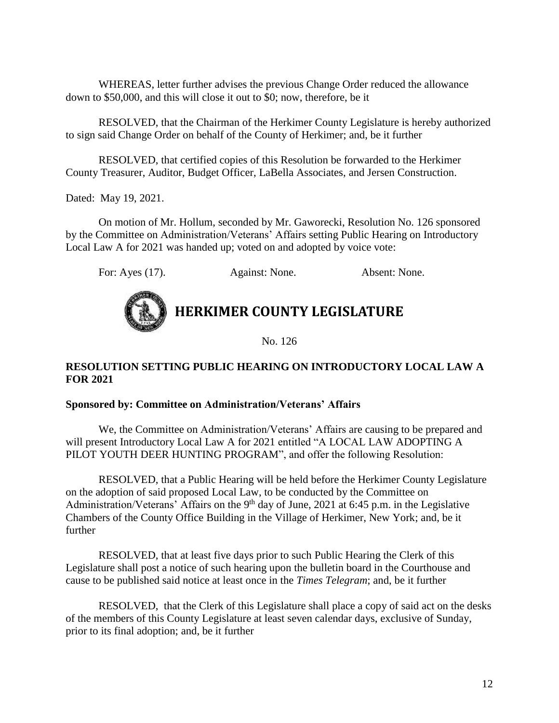WHEREAS, letter further advises the previous Change Order reduced the allowance down to \$50,000, and this will close it out to \$0; now, therefore, be it

RESOLVED, that the Chairman of the Herkimer County Legislature is hereby authorized to sign said Change Order on behalf of the County of Herkimer; and, be it further

RESOLVED, that certified copies of this Resolution be forwarded to the Herkimer County Treasurer, Auditor, Budget Officer, LaBella Associates, and Jersen Construction.

Dated: May 19, 2021.

On motion of Mr. Hollum, seconded by Mr. Gaworecki, Resolution No. 126 sponsored by the Committee on Administration/Veterans' Affairs setting Public Hearing on Introductory Local Law A for 2021 was handed up; voted on and adopted by voice vote:

For: Ayes (17). Against: None. Absent: None.

# **HERKIMER COUNTY LEGISLATURE**

No. 126

# **RESOLUTION SETTING PUBLIC HEARING ON INTRODUCTORY LOCAL LAW A FOR 2021**

#### **Sponsored by: Committee on Administration/Veterans' Affairs**

We, the Committee on Administration/Veterans' Affairs are causing to be prepared and will present Introductory Local Law A for 2021 entitled "A LOCAL LAW ADOPTING A PILOT YOUTH DEER HUNTING PROGRAM", and offer the following Resolution:

RESOLVED, that a Public Hearing will be held before the Herkimer County Legislature on the adoption of said proposed Local Law, to be conducted by the Committee on Administration/Veterans' Affairs on the  $9<sup>th</sup>$  day of June, 2021 at 6:45 p.m. in the Legislative Chambers of the County Office Building in the Village of Herkimer, New York; and, be it further

RESOLVED, that at least five days prior to such Public Hearing the Clerk of this Legislature shall post a notice of such hearing upon the bulletin board in the Courthouse and cause to be published said notice at least once in the *Times Telegram*; and, be it further

RESOLVED, that the Clerk of this Legislature shall place a copy of said act on the desks of the members of this County Legislature at least seven calendar days, exclusive of Sunday, prior to its final adoption; and, be it further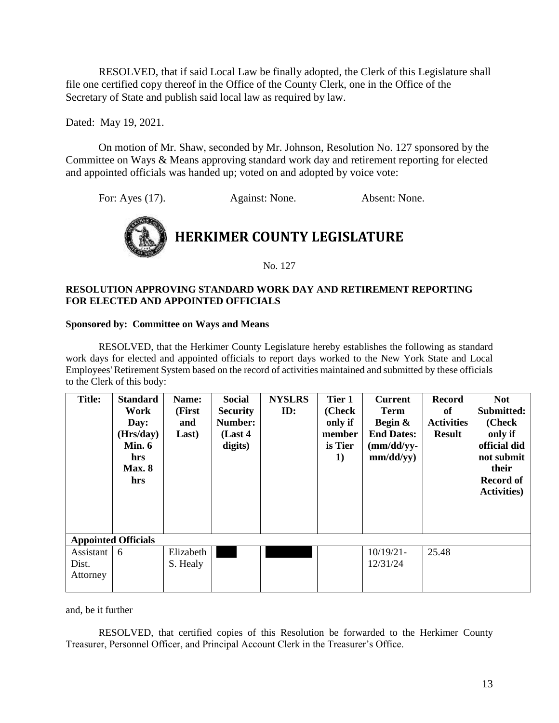RESOLVED, that if said Local Law be finally adopted, the Clerk of this Legislature shall file one certified copy thereof in the Office of the County Clerk, one in the Office of the Secretary of State and publish said local law as required by law.

Dated: May 19, 2021.

On motion of Mr. Shaw, seconded by Mr. Johnson, Resolution No. 127 sponsored by the Committee on Ways & Means approving standard work day and retirement reporting for elected and appointed officials was handed up; voted on and adopted by voice vote:

For: Ayes (17). Against: None. Absent: None.



No. 127

#### **RESOLUTION APPROVING STANDARD WORK DAY AND RETIREMENT REPORTING FOR ELECTED AND APPOINTED OFFICIALS**

#### **Sponsored by: Committee on Ways and Means**

RESOLVED, that the Herkimer County Legislature hereby establishes the following as standard work days for elected and appointed officials to report days worked to the New York State and Local Employees' Retirement System based on the record of activities maintained and submitted by these officials to the Clerk of this body:

| <b>Title:</b>                  | <b>Standard</b><br>Work<br>Day:<br>(Hrs/day)<br>Min. $6$<br>hrs<br><b>Max. 8</b><br>hrs | Name:<br>(First<br>and<br>Last) | <b>Social</b><br><b>Security</b><br>Number:<br>(Last 4)<br>digits) | <b>NYSLRS</b><br>ID: | Tier 1<br>(Check<br>only if<br>member<br>is Tier<br>1) | <b>Current</b><br><b>Term</b><br>Begin &<br><b>End Dates:</b><br>$(mm/dd/yy-$<br>mm/dd/yy) | <b>Record</b><br>of<br><b>Activities</b><br><b>Result</b> | <b>Not</b><br>Submitted:<br>(Check<br>only if<br>official did<br>not submit<br>their<br><b>Record of</b><br><b>Activities</b> ) |
|--------------------------------|-----------------------------------------------------------------------------------------|---------------------------------|--------------------------------------------------------------------|----------------------|--------------------------------------------------------|--------------------------------------------------------------------------------------------|-----------------------------------------------------------|---------------------------------------------------------------------------------------------------------------------------------|
| <b>Appointed Officials</b>     |                                                                                         |                                 |                                                                    |                      |                                                        |                                                                                            |                                                           |                                                                                                                                 |
| Assistant<br>Dist.<br>Attorney | 6                                                                                       | Elizabeth<br>S. Healy           |                                                                    |                      |                                                        | $10/19/21$ -<br>12/31/24                                                                   | 25.48                                                     |                                                                                                                                 |

and, be it further

RESOLVED, that certified copies of this Resolution be forwarded to the Herkimer County Treasurer, Personnel Officer, and Principal Account Clerk in the Treasurer's Office.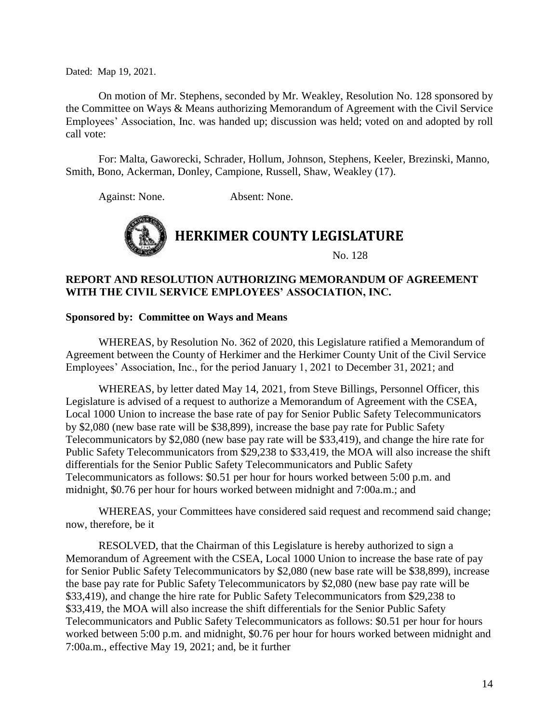Dated: Map 19, 2021.

On motion of Mr. Stephens, seconded by Mr. Weakley, Resolution No. 128 sponsored by the Committee on Ways & Means authorizing Memorandum of Agreement with the Civil Service Employees' Association, Inc. was handed up; discussion was held; voted on and adopted by roll call vote:

For: Malta, Gaworecki, Schrader, Hollum, Johnson, Stephens, Keeler, Brezinski, Manno, Smith, Bono, Ackerman, Donley, Campione, Russell, Shaw, Weakley (17).

Against: None. Absent: None.



# **REPORT AND RESOLUTION AUTHORIZING MEMORANDUM OF AGREEMENT WITH THE CIVIL SERVICE EMPLOYEES' ASSOCIATION, INC.**

#### **Sponsored by: Committee on Ways and Means**

WHEREAS, by Resolution No. 362 of 2020, this Legislature ratified a Memorandum of Agreement between the County of Herkimer and the Herkimer County Unit of the Civil Service Employees' Association, Inc., for the period January 1, 2021 to December 31, 2021; and

WHEREAS, by letter dated May 14, 2021, from Steve Billings, Personnel Officer, this Legislature is advised of a request to authorize a Memorandum of Agreement with the CSEA, Local 1000 Union to increase the base rate of pay for Senior Public Safety Telecommunicators by \$2,080 (new base rate will be \$38,899), increase the base pay rate for Public Safety Telecommunicators by \$2,080 (new base pay rate will be \$33,419), and change the hire rate for Public Safety Telecommunicators from \$29,238 to \$33,419, the MOA will also increase the shift differentials for the Senior Public Safety Telecommunicators and Public Safety Telecommunicators as follows: \$0.51 per hour for hours worked between 5:00 p.m. and midnight, \$0.76 per hour for hours worked between midnight and 7:00a.m.; and

WHEREAS, your Committees have considered said request and recommend said change; now, therefore, be it

RESOLVED, that the Chairman of this Legislature is hereby authorized to sign a Memorandum of Agreement with the CSEA, Local 1000 Union to increase the base rate of pay for Senior Public Safety Telecommunicators by \$2,080 (new base rate will be \$38,899), increase the base pay rate for Public Safety Telecommunicators by \$2,080 (new base pay rate will be \$33,419), and change the hire rate for Public Safety Telecommunicators from \$29,238 to \$33,419, the MOA will also increase the shift differentials for the Senior Public Safety Telecommunicators and Public Safety Telecommunicators as follows: \$0.51 per hour for hours worked between 5:00 p.m. and midnight, \$0.76 per hour for hours worked between midnight and 7:00a.m., effective May 19, 2021; and, be it further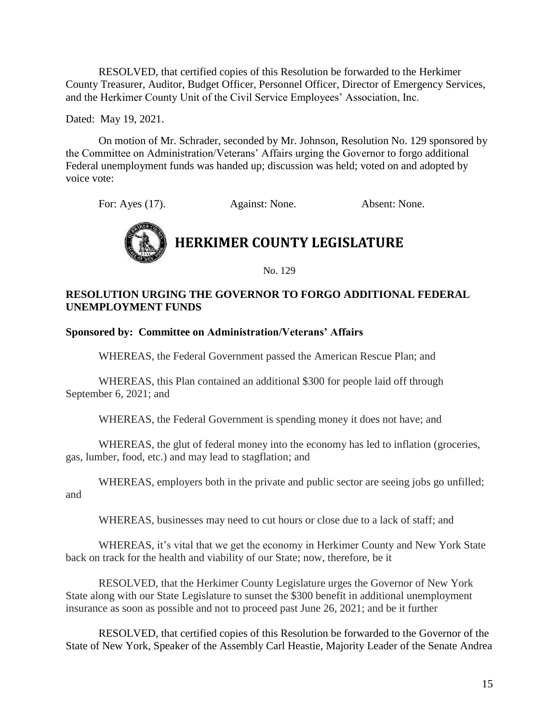RESOLVED, that certified copies of this Resolution be forwarded to the Herkimer County Treasurer, Auditor, Budget Officer, Personnel Officer, Director of Emergency Services, and the Herkimer County Unit of the Civil Service Employees' Association, Inc.

Dated: May 19, 2021.

On motion of Mr. Schrader, seconded by Mr. Johnson, Resolution No. 129 sponsored by the Committee on Administration/Veterans' Affairs urging the Governor to forgo additional Federal unemployment funds was handed up; discussion was held; voted on and adopted by voice vote:

For: Ayes (17). Against: None. Absent: None.



No. 129

# **RESOLUTION URGING THE GOVERNOR TO FORGO ADDITIONAL FEDERAL UNEMPLOYMENT FUNDS**

# **Sponsored by: Committee on Administration/Veterans' Affairs**

WHEREAS, the Federal Government passed the American Rescue Plan; and

WHEREAS, this Plan contained an additional \$300 for people laid off through September 6, 2021; and

WHEREAS, the Federal Government is spending money it does not have; and

WHEREAS, the glut of federal money into the economy has led to inflation (groceries, gas, lumber, food, etc.) and may lead to stagflation; and

WHEREAS, employers both in the private and public sector are seeing jobs go unfilled; and

WHEREAS, businesses may need to cut hours or close due to a lack of staff; and

WHEREAS, it's vital that we get the economy in Herkimer County and New York State back on track for the health and viability of our State; now, therefore, be it

RESOLVED, that the Herkimer County Legislature urges the Governor of New York State along with our State Legislature to sunset the \$300 benefit in additional unemployment insurance as soon as possible and not to proceed past June 26, 2021; and be it further

RESOLVED, that certified copies of this Resolution be forwarded to the Governor of the State of New York, Speaker of the Assembly Carl Heastie, Majority Leader of the Senate Andrea